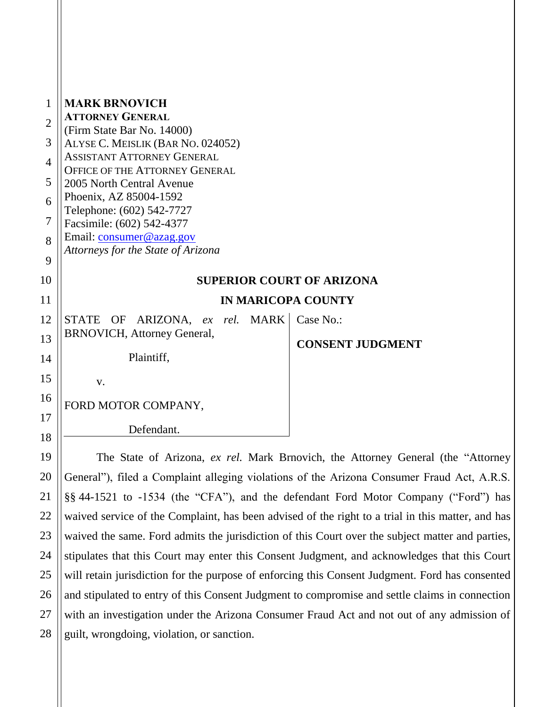| 1              | <b>MARK BRNOVICH</b>                                                       |                         |  |  |  |
|----------------|----------------------------------------------------------------------------|-------------------------|--|--|--|
| $\mathbf{2}$   | <b>ATTORNEY GENERAL</b><br>(Firm State Bar No. 14000)                      |                         |  |  |  |
| 3              | ALYSE C. MEISLIK (BAR NO. 024052)                                          |                         |  |  |  |
| $\overline{4}$ | <b>ASSISTANT ATTORNEY GENERAL</b><br><b>OFFICE OF THE ATTORNEY GENERAL</b> |                         |  |  |  |
| 5              | 2005 North Central Avenue                                                  |                         |  |  |  |
| 6              | Phoenix, AZ 85004-1592<br>Telephone: (602) 542-7727                        |                         |  |  |  |
| $\overline{7}$ | Facsimile: (602) 542-4377                                                  |                         |  |  |  |
| 8              | Email: consumer@azag.gov                                                   |                         |  |  |  |
| 9              | Attorneys for the State of Arizona                                         |                         |  |  |  |
| 10             | <b>SUPERIOR COURT OF ARIZONA</b>                                           |                         |  |  |  |
| 11             | <b>IN MARICOPA COUNTY</b>                                                  |                         |  |  |  |
| 12             | STATE OF<br>ARIZONA, ex rel. MARK                                          | Case No.:               |  |  |  |
| 13             | <b>BRNOVICH, Attorney General,</b>                                         | <b>CONSENT JUDGMENT</b> |  |  |  |
| 14             | Plaintiff,                                                                 |                         |  |  |  |
| 15             | V.                                                                         |                         |  |  |  |
| 16             | FORD MOTOR COMPANY,                                                        |                         |  |  |  |
| 17             |                                                                            |                         |  |  |  |
| 18             | Defendant.                                                                 |                         |  |  |  |

19

20

21

22

23

24

25

26

27

28

The State of Arizona, *ex rel.* Mark Brnovich, the Attorney General (the "Attorney General"), filed a Complaint alleging violations of the Arizona Consumer Fraud Act, A.R.S. §§ 44-1521 to -1534 (the "CFA"), and the defendant Ford Motor Company ("Ford") has waived service of the Complaint, has been advised of the right to a trial in this matter, and has waived the same. Ford admits the jurisdiction of this Court over the subject matter and parties, stipulates that this Court may enter this Consent Judgment, and acknowledges that this Court will retain jurisdiction for the purpose of enforcing this Consent Judgment. Ford has consented and stipulated to entry of this Consent Judgment to compromise and settle claims in connection with an investigation under the Arizona Consumer Fraud Act and not out of any admission of guilt, wrongdoing, violation, or sanction.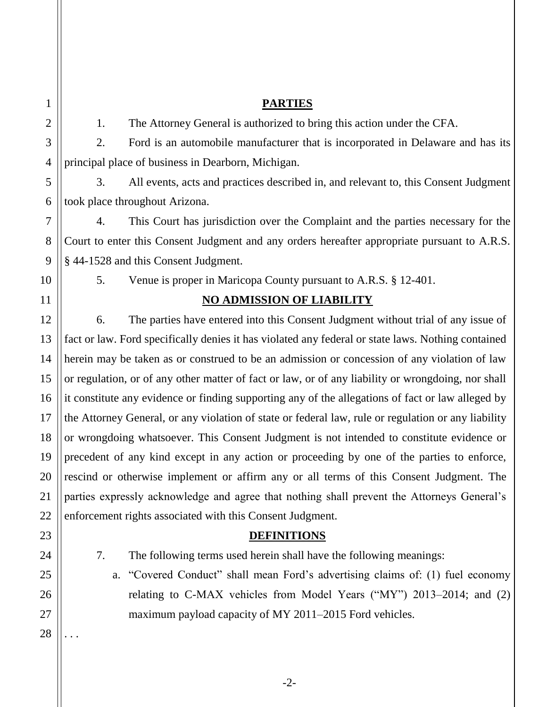### **PARTIES**

1. The Attorney General is authorized to bring this action under the CFA.

2. Ford is an automobile manufacturer that is incorporated in Delaware and has its principal place of business in Dearborn, Michigan.

3. All events, acts and practices described in, and relevant to, this Consent Judgment took place throughout Arizona.

4. This Court has jurisdiction over the Complaint and the parties necessary for the Court to enter this Consent Judgment and any orders hereafter appropriate pursuant to A.R.S. § 44-1528 and this Consent Judgment.

5. Venue is proper in Maricopa County pursuant to A.R.S. § 12-401.

# **NO ADMISSION OF LIABILITY**

6. The parties have entered into this Consent Judgment without trial of any issue of fact or law. Ford specifically denies it has violated any federal or state laws. Nothing contained herein may be taken as or construed to be an admission or concession of any violation of law or regulation, or of any other matter of fact or law, or of any liability or wrongdoing, nor shall it constitute any evidence or finding supporting any of the allegations of fact or law alleged by the Attorney General, or any violation of state or federal law, rule or regulation or any liability or wrongdoing whatsoever. This Consent Judgment is not intended to constitute evidence or precedent of any kind except in any action or proceeding by one of the parties to enforce, rescind or otherwise implement or affirm any or all terms of this Consent Judgment. The parties expressly acknowledge and agree that nothing shall prevent the Attorneys General's enforcement rights associated with this Consent Judgment.

# **DEFINITIONS**

7. The following terms used herein shall have the following meanings:

a. "Covered Conduct" shall mean Ford's advertising claims of: (1) fuel economy relating to C-MAX vehicles from Model Years ("MY") 2013–2014; and (2) maximum payload capacity of MY 2011–2015 Ford vehicles.

28 . . .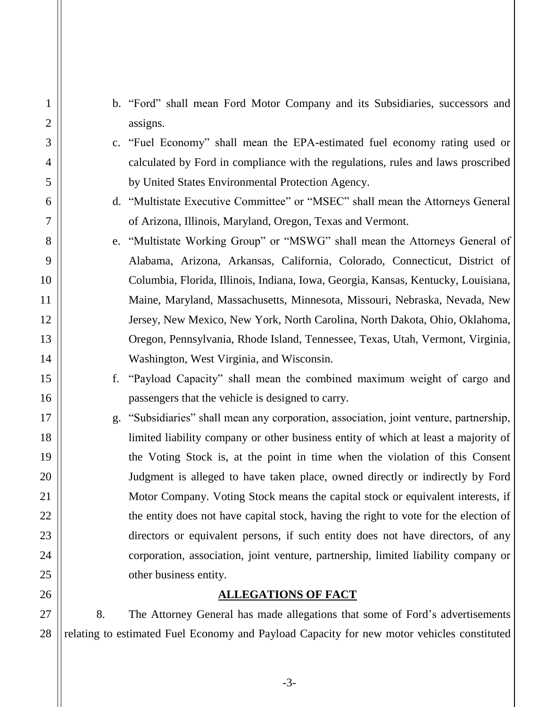b. "Ford" shall mean Ford Motor Company and its Subsidiaries, successors and assigns.

1

2

3

4

5

6

7

8

9

10

11

12

13

14

15

16

17

18

19

20

21

22

23

24

25

26

27

28

- c. "Fuel Economy" shall mean the EPA-estimated fuel economy rating used or calculated by Ford in compliance with the regulations, rules and laws proscribed by United States Environmental Protection Agency.
- d. "Multistate Executive Committee" or "MSEC" shall mean the Attorneys General of Arizona, Illinois, Maryland, Oregon, Texas and Vermont.
- e. "Multistate Working Group" or "MSWG" shall mean the Attorneys General of Alabama, Arizona, Arkansas, California, Colorado, Connecticut, District of Columbia, Florida, Illinois, Indiana, Iowa, Georgia, Kansas, Kentucky, Louisiana, Maine, Maryland, Massachusetts, Minnesota, Missouri, Nebraska, Nevada, New Jersey, New Mexico, New York, North Carolina, North Dakota, Ohio, Oklahoma, Oregon, Pennsylvania, Rhode Island, Tennessee, Texas, Utah, Vermont, Virginia, Washington, West Virginia, and Wisconsin.
- f. "Payload Capacity" shall mean the combined maximum weight of cargo and passengers that the vehicle is designed to carry.
- g. "Subsidiaries" shall mean any corporation, association, joint venture, partnership, limited liability company or other business entity of which at least a majority of the Voting Stock is, at the point in time when the violation of this Consent Judgment is alleged to have taken place, owned directly or indirectly by Ford Motor Company. Voting Stock means the capital stock or equivalent interests, if the entity does not have capital stock, having the right to vote for the election of directors or equivalent persons, if such entity does not have directors, of any corporation, association, joint venture, partnership, limited liability company or other business entity.

## **ALLEGATIONS OF FACT**

8. The Attorney General has made allegations that some of Ford's advertisements relating to estimated Fuel Economy and Payload Capacity for new motor vehicles constituted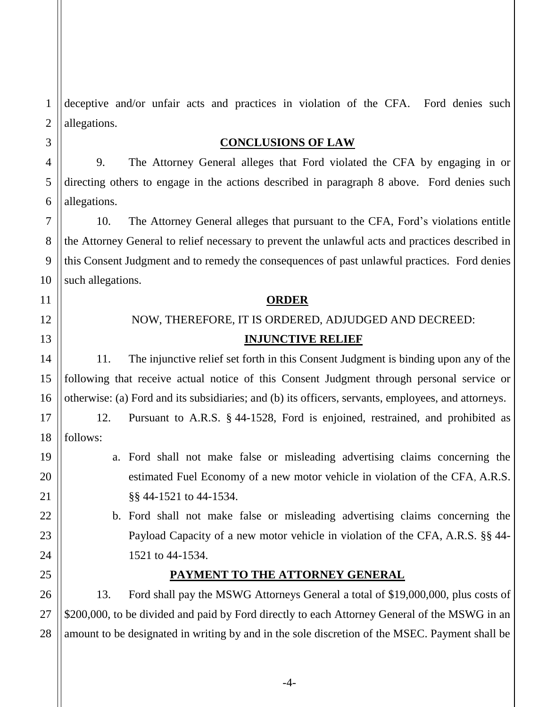1 2 deceptive and/or unfair acts and practices in violation of the CFA. Ford denies such allegations.

### **CONCLUSIONS OF LAW**

9. The Attorney General alleges that Ford violated the CFA by engaging in or directing others to engage in the actions described in paragraph 8 above. Ford denies such allegations.

10. The Attorney General alleges that pursuant to the CFA, Ford's violations entitle the Attorney General to relief necessary to prevent the unlawful acts and practices described in this Consent Judgment and to remedy the consequences of past unlawful practices. Ford denies such allegations.

#### **ORDER**

NOW, THEREFORE, IT IS ORDERED, ADJUDGED AND DECREED:

### **INJUNCTIVE RELIEF**

11. The injunctive relief set forth in this Consent Judgment is binding upon any of the following that receive actual notice of this Consent Judgment through personal service or otherwise: (a) Ford and its subsidiaries; and (b) its officers, servants, employees, and attorneys.

12. Pursuant to A.R.S. § 44-1528, Ford is enjoined, restrained, and prohibited as follows:

a. Ford shall not make false or misleading advertising claims concerning the estimated Fuel Economy of a new motor vehicle in violation of the CFA, A.R.S. §§ 44-1521 to 44-1534.

b. Ford shall not make false or misleading advertising claims concerning the Payload Capacity of a new motor vehicle in violation of the CFA, A.R.S. §§ 44- 1521 to 44-1534.

### **PAYMENT TO THE ATTORNEY GENERAL**

13. Ford shall pay the MSWG Attorneys General a total of \$19,000,000, plus costs of \$200,000, to be divided and paid by Ford directly to each Attorney General of the MSWG in an amount to be designated in writing by and in the sole discretion of the MSEC. Payment shall be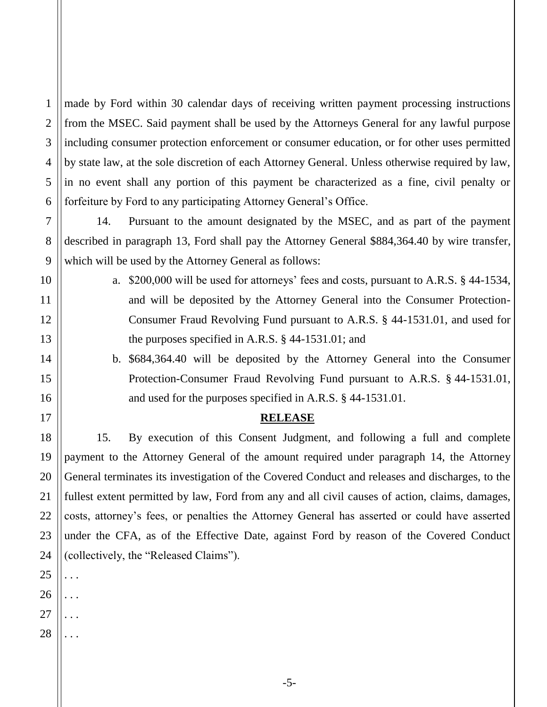made by Ford within 30 calendar days of receiving written payment processing instructions from the MSEC. Said payment shall be used by the Attorneys General for any lawful purpose including consumer protection enforcement or consumer education, or for other uses permitted by state law, at the sole discretion of each Attorney General. Unless otherwise required by law, in no event shall any portion of this payment be characterized as a fine, civil penalty or forfeiture by Ford to any participating Attorney General's Office.

14. Pursuant to the amount designated by the MSEC, and as part of the payment described in paragraph 13, Ford shall pay the Attorney General \$884,364.40 by wire transfer, which will be used by the Attorney General as follows:

- a. \$200,000 will be used for attorneys' fees and costs, pursuant to A.R.S. § 44-1534, and will be deposited by the Attorney General into the Consumer Protection-Consumer Fraud Revolving Fund pursuant to A.R.S. § 44-1531.01, and used for the purposes specified in A.R.S. § 44-1531.01; and
	- b. \$684,364.40 will be deposited by the Attorney General into the Consumer Protection-Consumer Fraud Revolving Fund pursuant to A.R.S. § 44-1531.01, and used for the purposes specified in A.R.S. § 44-1531.01.

#### **RELEASE**

15. By execution of this Consent Judgment, and following a full and complete payment to the Attorney General of the amount required under paragraph 14, the Attorney General terminates its investigation of the Covered Conduct and releases and discharges, to the fullest extent permitted by law, Ford from any and all civil causes of action, claims, damages, costs, attorney's fees, or penalties the Attorney General has asserted or could have asserted under the CFA, as of the Effective Date, against Ford by reason of the Covered Conduct (collectively, the "Released Claims").

. . .

. . .

. . .

. . .

1

2

3

4

5

6

7

8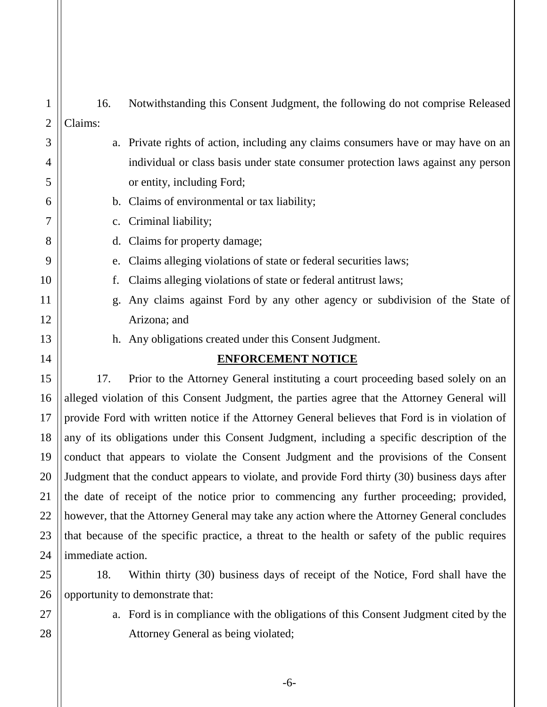| 1              | 16.                                                                                            |                                                                                                |  |
|----------------|------------------------------------------------------------------------------------------------|------------------------------------------------------------------------------------------------|--|
| $\overline{2}$ | Claims:                                                                                        | Notwithstanding this Consent Judgment, the following do not comprise Released                  |  |
| 3              |                                                                                                | a. Private rights of action, including any claims consumers have or may have on an             |  |
| 4              |                                                                                                | individual or class basis under state consumer protection laws against any person              |  |
| 5              |                                                                                                | or entity, including Ford;                                                                     |  |
| 6              |                                                                                                | b. Claims of environmental or tax liability;                                                   |  |
| 7              | c.                                                                                             | Criminal liability;                                                                            |  |
| 8              | $d_{\cdot}$                                                                                    | Claims for property damage;                                                                    |  |
| 9              |                                                                                                | Claims alleging violations of state or federal securities laws;                                |  |
| 10             | e.<br>f.                                                                                       | Claims alleging violations of state or federal antitrust laws;                                 |  |
| 11             |                                                                                                | Any claims against Ford by any other agency or subdivision of the State of                     |  |
|                | g.                                                                                             |                                                                                                |  |
| 12             |                                                                                                | Arizona; and                                                                                   |  |
| 13             |                                                                                                | h. Any obligations created under this Consent Judgment.                                        |  |
| 14             |                                                                                                | <b>ENFORCEMENT NOTICE</b>                                                                      |  |
| 15             | 17.                                                                                            | Prior to the Attorney General instituting a court proceeding based solely on an                |  |
| 16             | alleged violation of this Consent Judgment, the parties agree that the Attorney General will   |                                                                                                |  |
| 17             | provide Ford with written notice if the Attorney General believes that Ford is in violation of |                                                                                                |  |
| 18             | any of its obligations under this Consent Judgment, including a specific description of the    |                                                                                                |  |
| 19             | conduct that appears to violate the Consent Judgment and the provisions of the Consent         |                                                                                                |  |
| 20             | Judgment that the conduct appears to violate, and provide Ford thirty (30) business days after |                                                                                                |  |
| 21             | the date of receipt of the notice prior to commencing any further proceeding; provided,        |                                                                                                |  |
| 22             |                                                                                                | however, that the Attorney General may take any action where the Attorney General concludes    |  |
| 23             |                                                                                                | that because of the specific practice, a threat to the health or safety of the public requires |  |
| 24             | immediate action.                                                                              |                                                                                                |  |
| 25             | 18.                                                                                            | Within thirty (30) business days of receipt of the Notice, Ford shall have the                 |  |

26 | opportunity to demonstrate that:

27

28

a. Ford is in compliance with the obligations of this Consent Judgment cited by the Attorney General as being violated;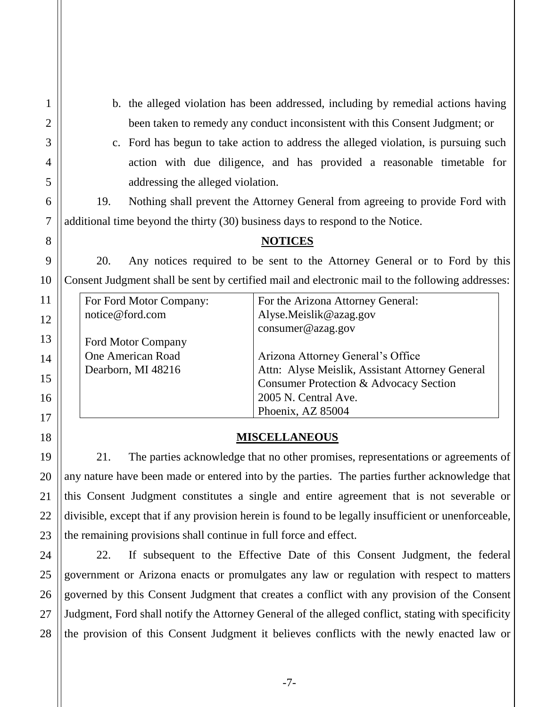b. the alleged violation has been addressed, including by remedial actions having been taken to remedy any conduct inconsistent with this Consent Judgment; or

c. Ford has begun to take action to address the alleged violation, is pursuing such action with due diligence, and has provided a reasonable timetable for addressing the alleged violation.

19. Nothing shall prevent the Attorney General from agreeing to provide Ford with additional time beyond the thirty (30) business days to respond to the Notice.

## **NOTICES**

20. Any notices required to be sent to the Attorney General or to Ford by this Consent Judgment shall be sent by certified mail and electronic mail to the following addresses:

| For Ford Motor Company:   | For the Arizona Attorney General:               |
|---------------------------|-------------------------------------------------|
| notice@ford.com           | Alyse.Meislik@azag.gov                          |
|                           | $\text{cosumer}@azag.gov$                       |
| <b>Ford Motor Company</b> |                                                 |
| One American Road         | Arizona Attorney General's Office               |
| Dearborn, MI 48216        | Attn: Alyse Meislik, Assistant Attorney General |
|                           | Consumer Protection & Advocacy Section          |
|                           | 2005 N. Central Ave.                            |
|                           | Phoenix, AZ 85004                               |

## **MISCELLANEOUS**

21. The parties acknowledge that no other promises, representations or agreements of any nature have been made or entered into by the parties. The parties further acknowledge that this Consent Judgment constitutes a single and entire agreement that is not severable or divisible, except that if any provision herein is found to be legally insufficient or unenforceable, the remaining provisions shall continue in full force and effect.

22. If subsequent to the Effective Date of this Consent Judgment, the federal government or Arizona enacts or promulgates any law or regulation with respect to matters governed by this Consent Judgment that creates a conflict with any provision of the Consent Judgment, Ford shall notify the Attorney General of the alleged conflict, stating with specificity the provision of this Consent Judgment it believes conflicts with the newly enacted law or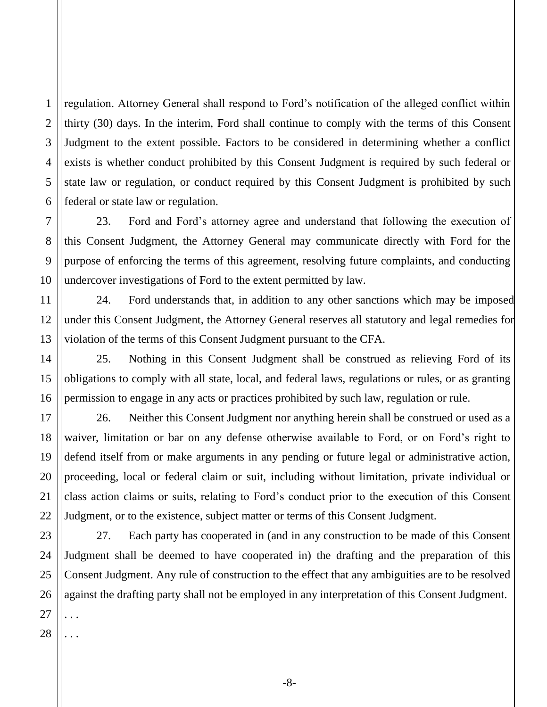4 regulation. Attorney General shall respond to Ford's notification of the alleged conflict within thirty (30) days. In the interim, Ford shall continue to comply with the terms of this Consent Judgment to the extent possible. Factors to be considered in determining whether a conflict exists is whether conduct prohibited by this Consent Judgment is required by such federal or state law or regulation, or conduct required by this Consent Judgment is prohibited by such federal or state law or regulation.

23. Ford and Ford's attorney agree and understand that following the execution of this Consent Judgment, the Attorney General may communicate directly with Ford for the purpose of enforcing the terms of this agreement, resolving future complaints, and conducting undercover investigations of Ford to the extent permitted by law.

24. Ford understands that, in addition to any other sanctions which may be imposed under this Consent Judgment, the Attorney General reserves all statutory and legal remedies for violation of the terms of this Consent Judgment pursuant to the CFA.

25. Nothing in this Consent Judgment shall be construed as relieving Ford of its obligations to comply with all state, local, and federal laws, regulations or rules, or as granting permission to engage in any acts or practices prohibited by such law, regulation or rule.

26. Neither this Consent Judgment nor anything herein shall be construed or used as a waiver, limitation or bar on any defense otherwise available to Ford, or on Ford's right to defend itself from or make arguments in any pending or future legal or administrative action, proceeding, local or federal claim or suit, including without limitation, private individual or class action claims or suits, relating to Ford's conduct prior to the execution of this Consent Judgment, or to the existence, subject matter or terms of this Consent Judgment.

23 27. Each party has cooperated in (and in any construction to be made of this Consent Judgment shall be deemed to have cooperated in) the drafting and the preparation of this Consent Judgment. Any rule of construction to the effect that any ambiguities are to be resolved against the drafting party shall not be employed in any interpretation of this Consent Judgment. . . .

. . .

1

2

3

5

6

7

8

9

10

11

12

13

14

15

16

17

18

19

20

21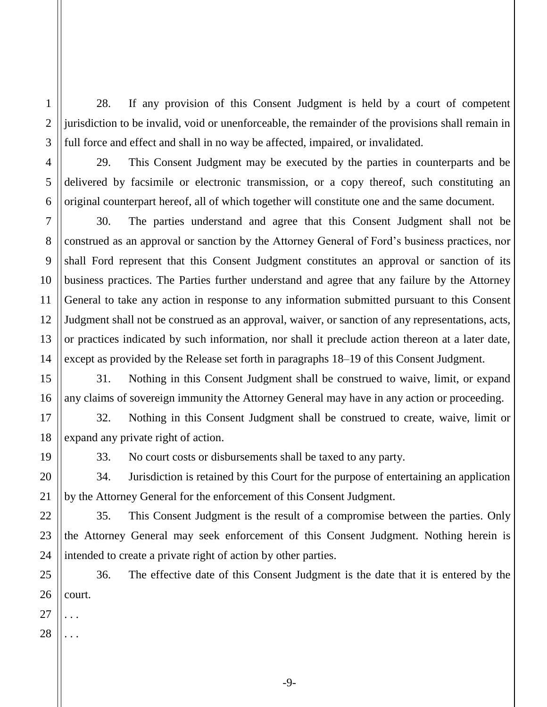28. If any provision of this Consent Judgment is held by a court of competent jurisdiction to be invalid, void or unenforceable, the remainder of the provisions shall remain in full force and effect and shall in no way be affected, impaired, or invalidated.

29. This Consent Judgment may be executed by the parties in counterparts and be delivered by facsimile or electronic transmission, or a copy thereof, such constituting an original counterpart hereof, all of which together will constitute one and the same document.

30. The parties understand and agree that this Consent Judgment shall not be construed as an approval or sanction by the Attorney General of Ford's business practices, nor shall Ford represent that this Consent Judgment constitutes an approval or sanction of its business practices. The Parties further understand and agree that any failure by the Attorney General to take any action in response to any information submitted pursuant to this Consent Judgment shall not be construed as an approval, waiver, or sanction of any representations, acts, or practices indicated by such information, nor shall it preclude action thereon at a later date, except as provided by the Release set forth in paragraphs 18–19 of this Consent Judgment.

31. Nothing in this Consent Judgment shall be construed to waive, limit, or expand any claims of sovereign immunity the Attorney General may have in any action or proceeding.

32. Nothing in this Consent Judgment shall be construed to create, waive, limit or expand any private right of action.

33. No court costs or disbursements shall be taxed to any party.

34. Jurisdiction is retained by this Court for the purpose of entertaining an application by the Attorney General for the enforcement of this Consent Judgment.

35. This Consent Judgment is the result of a compromise between the parties. Only the Attorney General may seek enforcement of this Consent Judgment. Nothing herein is intended to create a private right of action by other parties.

25 26 36. The effective date of this Consent Judgment is the date that it is entered by the court.

27

1

2

3

4

5

6

7

8

9

10

11

12

13

14

15

16

17

18

19

20

21

22

23

24

28 . . .

. . .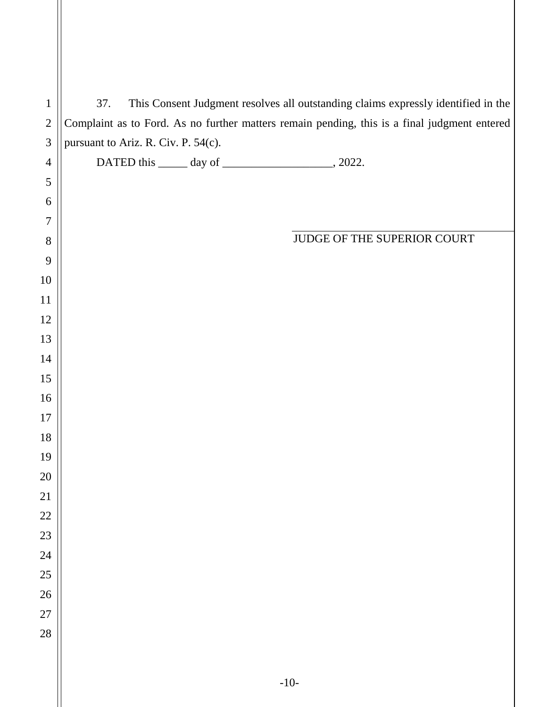| $\mathbf{1}$   | This Consent Judgment resolves all outstanding claims expressly identified in the<br>37.     |
|----------------|----------------------------------------------------------------------------------------------|
| $\mathbf{2}$   | Complaint as to Ford. As no further matters remain pending, this is a final judgment entered |
| $\mathfrak{Z}$ | pursuant to Ariz. R. Civ. P. 54(c).                                                          |
| $\overline{4}$ |                                                                                              |
| $\mathfrak{S}$ |                                                                                              |
| 6              |                                                                                              |
| 7              |                                                                                              |
| $8\,$          | JUDGE OF THE SUPERIOR COURT                                                                  |
| 9<br>10        |                                                                                              |
| 11             |                                                                                              |
| 12             |                                                                                              |
| 13             |                                                                                              |
| 14             |                                                                                              |
| 15             |                                                                                              |
| 16             |                                                                                              |
| 17             |                                                                                              |
| 18             |                                                                                              |
| 19             |                                                                                              |
| $20\,$         |                                                                                              |
| 21             |                                                                                              |
| $22\,$         |                                                                                              |
| $23\,$         |                                                                                              |
| 24             |                                                                                              |
| 25             |                                                                                              |
| 26             |                                                                                              |
| $27\,$         |                                                                                              |
| 28             |                                                                                              |
|                |                                                                                              |
|                | $-10-$                                                                                       |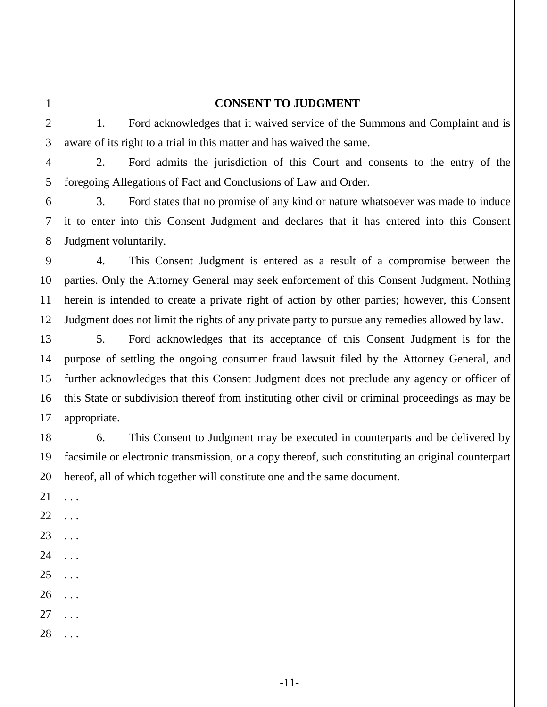## **CONSENT TO JUDGMENT**

1. Ford acknowledges that it waived service of the Summons and Complaint and is aware of its right to a trial in this matter and has waived the same.

2. Ford admits the jurisdiction of this Court and consents to the entry of the foregoing Allegations of Fact and Conclusions of Law and Order.

3. Ford states that no promise of any kind or nature whatsoever was made to induce it to enter into this Consent Judgment and declares that it has entered into this Consent Judgment voluntarily.

4. This Consent Judgment is entered as a result of a compromise between the parties. Only the Attorney General may seek enforcement of this Consent Judgment. Nothing herein is intended to create a private right of action by other parties; however, this Consent Judgment does not limit the rights of any private party to pursue any remedies allowed by law.

5. Ford acknowledges that its acceptance of this Consent Judgment is for the purpose of settling the ongoing consumer fraud lawsuit filed by the Attorney General, and further acknowledges that this Consent Judgment does not preclude any agency or officer of this State or subdivision thereof from instituting other civil or criminal proceedings as may be appropriate.

6. This Consent to Judgment may be executed in counterparts and be delivered by facsimile or electronic transmission, or a copy thereof, such constituting an original counterpart hereof, all of which together will constitute one and the same document.

. . .

. . .

. . .

. . .

. . .

. . .

1

2

3

4

5

6

7

8

9

10